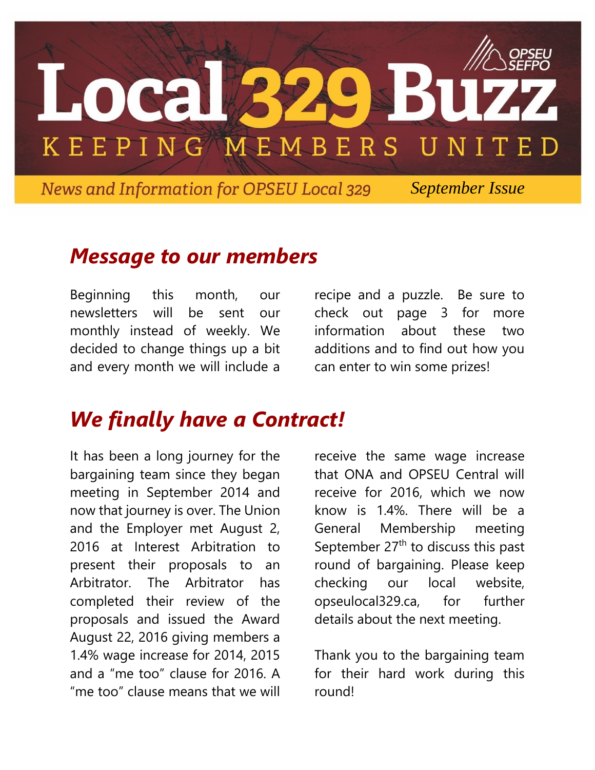

 *September Issue*

## *Message to our members*

Beginning this month, our newsletters will be sent our monthly instead of weekly. We decided to change things up a bit and every month we will include a

recipe and a puzzle. Be sure to check out page 3 for more information about these two additions and to find out how you can enter to win some prizes!

# *We finally have a Contract!*

It has been a long journey for the bargaining team since they began meeting in September 2014 and now that journey is over. The Union and the Employer met August 2, 2016 at Interest Arbitration to present their proposals to an Arbitrator. The Arbitrator has completed their review of the proposals and issued the Award August 22, 2016 giving members a 1.4% wage increase for 2014, 2015 and a "me too" clause for 2016. A "me too" clause means that we will

receive the same wage increase that ONA and OPSEU Central will receive for 2016, which we now know is 1.4%. There will be a General Membership meeting September  $27<sup>th</sup>$  to discuss this past round of bargaining. Please keep checking our local website, opseulocal329.ca, for further details about the next meeting.

Thank you to the bargaining team for their hard work during this round!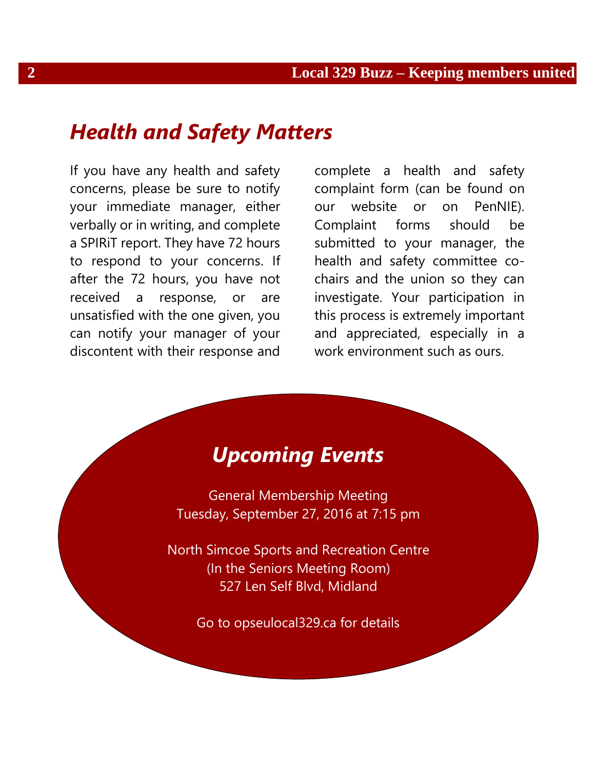#### *Health and Safety Matters*

If you have any health and safety concerns, please be sure to notify your immediate manager, either verbally or in writing, and complete a SPIRiT report. They have 72 hours to respond to your concerns. If after the 72 hours, you have not received a response, or are unsatisfied with the one given, you can notify your manager of your discontent with their response and

complete a health and safety complaint form (can be found on our website or on PenNIE). Complaint forms should be submitted to your manager, the health and safety committee cochairs and the union so they can investigate. Your participation in this process is extremely important and appreciated, especially in a work environment such as ours.



General Membership Meeting Tuesday, September 27, 2016 at 7:15 pm

North Simcoe Sports and Recreation Centre (In the Seniors Meeting Room) 527 Len Self Blvd, Midland

Go to opseulocal329.ca for details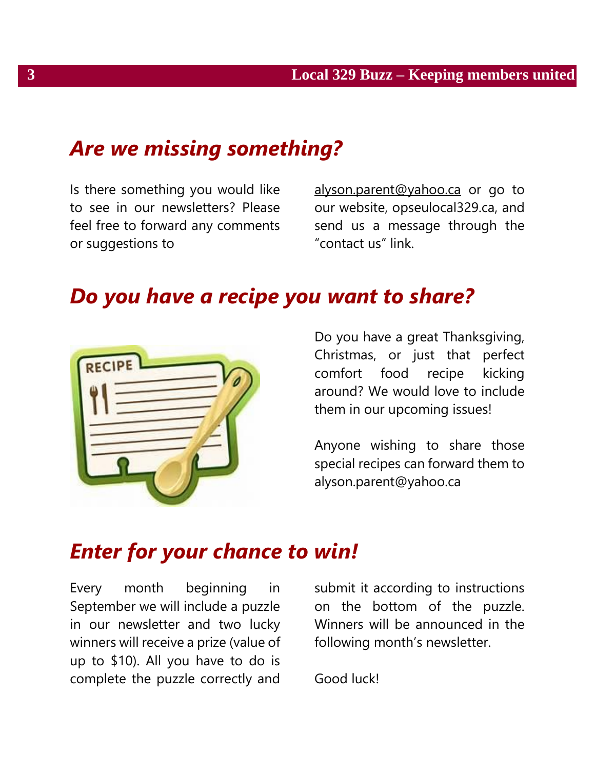## *Are we missing something?*

Is there something you would like to see in our newsletters? Please feel free to forward any comments or suggestions to

[alyson.parent@yahoo.ca](mailto:alyson.parent@yahoo.ca) or go to our website, opseulocal329.ca, and send us a message through the "contact us" link.

## *Do you have a recipe you want to share?*



Do you have a great Thanksgiving, Christmas, or just that perfect comfort food recipe kicking around? We would love to include them in our upcoming issues!

Anyone wishing to share those special recipes can forward them to alyson.parent@yahoo.ca

### *Enter for your chance to win!*

Every month beginning in September we will include a puzzle in our newsletter and two lucky winners will receive a prize (value of up to \$10). All you have to do is complete the puzzle correctly and

submit it according to instructions on the bottom of the puzzle. Winners will be announced in the following month's newsletter.

Good luck!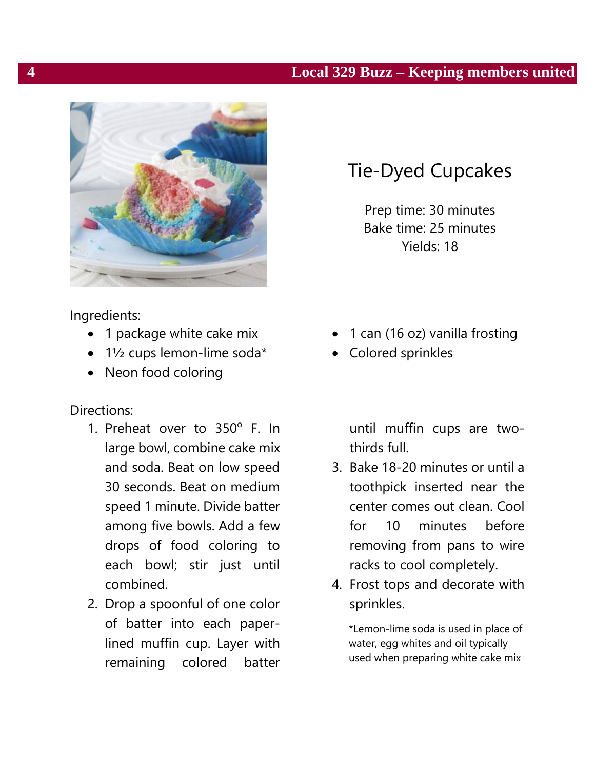#### **4 Local 329 Buzz – Keeping members united**



# Tie-Dyed Cupcakes

Prep time: 30 minutes Bake time: 25 minutes Yields: 18

Ingredients:

- 1 package white cake mix
- $\bullet$  1½ cups lemon-lime soda\*
- Neon food coloring

Directions:

- 1. Preheat over to  $350^\circ$  F. In large bowl, combine cake mix and soda. Beat on low speed 30 seconds. Beat on medium speed 1 minute. Divide batter among five bowls. Add a few drops of food coloring to each bowl; stir just until combined.
- 2. Drop a spoonful of one color of batter into each paperlined muffin cup. Layer with remaining colored batter
- 1 can (16 oz) vanilla frosting
- Colored sprinkles

until muffin cups are twothirds full.

- 3. Bake 18-20 minutes or until a toothpick inserted near the center comes out clean. Cool for 10 minutes before removing from pans to wire racks to cool completely.
- 4. Frost tops and decorate with sprinkles.

\*Lemon-lime soda is used in place of water, egg whites and oil typically used when preparing white cake mix